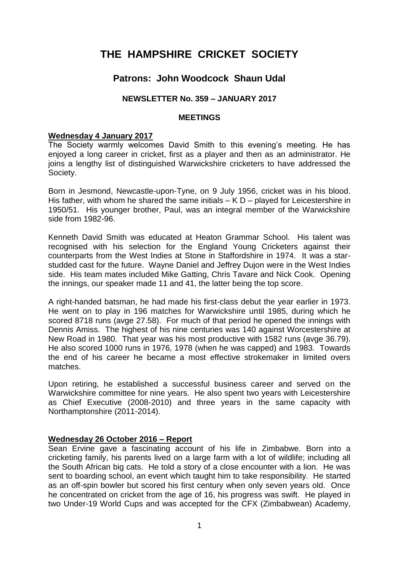# **THE HAMPSHIRE CRICKET SOCIETY**

# **Patrons: John Woodcock Shaun Udal**

# **NEWSLETTER No. 359 – JANUARY 2017**

#### **MEETINGS**

## **Wednesday 4 January 2017**

The Society warmly welcomes David Smith to this evening's meeting. He has enjoyed a long career in cricket, first as a player and then as an administrator. He joins a lengthy list of distinguished Warwickshire cricketers to have addressed the Society.

Born in Jesmond, Newcastle-upon-Tyne, on 9 July 1956, cricket was in his blood. His father, with whom he shared the same initials  $- K D -$  played for Leicestershire in 1950/51. His younger brother, Paul, was an integral member of the Warwickshire side from 1982-96.

Kenneth David Smith was educated at Heaton Grammar School. His talent was recognised with his selection for the England Young Cricketers against their counterparts from the West Indies at Stone in Staffordshire in 1974. It was a starstudded cast for the future. Wayne Daniel and Jeffrey Dujon were in the West Indies side. His team mates included Mike Gatting, Chris Tavare and Nick Cook. Opening the innings, our speaker made 11 and 41, the latter being the top score.

A right-handed batsman, he had made his first-class debut the year earlier in 1973. He went on to play in 196 matches for Warwickshire until 1985, during which he scored 8718 runs (avge 27.58). For much of that period he opened the innings with Dennis Amiss. The highest of his nine centuries was 140 against Worcestershire at New Road in 1980. That year was his most productive with 1582 runs (avge 36.79). He also scored 1000 runs in 1976, 1978 (when he was capped) and 1983. Towards the end of his career he became a most effective strokemaker in limited overs matches.

Upon retiring, he established a successful business career and served on the Warwickshire committee for nine years. He also spent two years with Leicestershire as Chief Executive (2008-2010) and three years in the same capacity with Northamptonshire (2011-2014).

# **Wednesday 26 October 2016 – Report**

Sean Ervine gave a fascinating account of his life in Zimbabwe. Born into a cricketing family, his parents lived on a large farm with a lot of wildlife; including all the South African big cats. He told a story of a close encounter with a lion. He was sent to boarding school, an event which taught him to take responsibility. He started as an off-spin bowler but scored his first century when only seven years old. Once he concentrated on cricket from the age of 16, his progress was swift. He played in two Under-19 World Cups and was accepted for the CFX (Zimbabwean) Academy,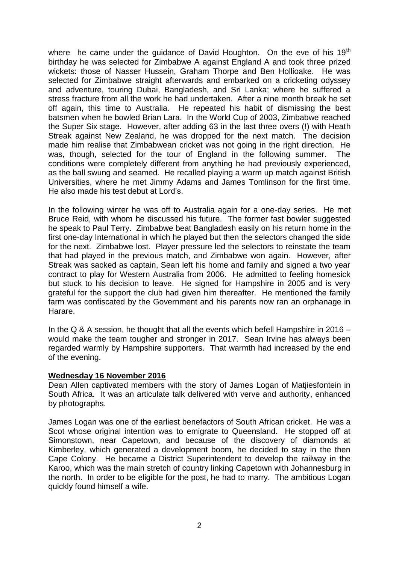where he came under the guidance of David Houghton. On the eve of his 19<sup>th</sup> birthday he was selected for Zimbabwe A against England A and took three prized wickets: those of Nasser Hussein, Graham Thorpe and Ben Hollioake. He was selected for Zimbabwe straight afterwards and embarked on a cricketing odyssey and adventure, touring Dubai, Bangladesh, and Sri Lanka; where he suffered a stress fracture from all the work he had undertaken. After a nine month break he set off again, this time to Australia. He repeated his habit of dismissing the best batsmen when he bowled Brian Lara. In the World Cup of 2003, Zimbabwe reached the Super Six stage. However, after adding 63 in the last three overs (!) with Heath Streak against New Zealand, he was dropped for the next match. The decision made him realise that Zimbabwean cricket was not going in the right direction. He was, though, selected for the tour of England in the following summer. The conditions were completely different from anything he had previously experienced, as the ball swung and seamed. He recalled playing a warm up match against British Universities, where he met Jimmy Adams and James Tomlinson for the first time. He also made his test debut at Lord's.

In the following winter he was off to Australia again for a one-day series. He met Bruce Reid, with whom he discussed his future. The former fast bowler suggested he speak to Paul Terry. Zimbabwe beat Bangladesh easily on his return home in the first one-day International in which he played but then the selectors changed the side for the next. Zimbabwe lost. Player pressure led the selectors to reinstate the team that had played in the previous match, and Zimbabwe won again. However, after Streak was sacked as captain, Sean left his home and family and signed a two year contract to play for Western Australia from 2006. He admitted to feeling homesick but stuck to his decision to leave. He signed for Hampshire in 2005 and is very grateful for the support the club had given him thereafter. He mentioned the family farm was confiscated by the Government and his parents now ran an orphanage in Harare.

In the Q & A session, he thought that all the events which befell Hampshire in 2016 – would make the team tougher and stronger in 2017. Sean Irvine has always been regarded warmly by Hampshire supporters. That warmth had increased by the end of the evening.

#### **Wednesday 16 November 2016**

Dean Allen captivated members with the story of James Logan of Matjiesfontein in South Africa. It was an articulate talk delivered with verve and authority, enhanced by photographs.

James Logan was one of the earliest benefactors of South African cricket. He was a Scot whose original intention was to emigrate to Queensland. He stopped off at Simonstown, near Capetown, and because of the discovery of diamonds at Kimberley, which generated a development boom, he decided to stay in the then Cape Colony. He became a District Superintendent to develop the railway in the Karoo, which was the main stretch of country linking Capetown with Johannesburg in the north. In order to be eligible for the post, he had to marry. The ambitious Logan quickly found himself a wife.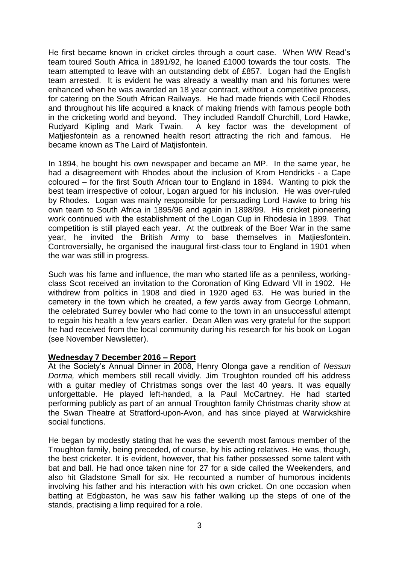He first became known in cricket circles through a court case. When WW Read's team toured South Africa in 1891/92, he loaned £1000 towards the tour costs. The team attempted to leave with an outstanding debt of £857. Logan had the English team arrested. It is evident he was already a wealthy man and his fortunes were enhanced when he was awarded an 18 year contract, without a competitive process, for catering on the South African Railways. He had made friends with Cecil Rhodes and throughout his life acquired a knack of making friends with famous people both in the cricketing world and beyond. They included Randolf Churchill, Lord Hawke, Rudyard Kipling and Mark Twain. A key factor was the development of Matijesfontein as a renowned health resort attracting the rich and famous. He became known as The Laird of Matjisfontein.

In 1894, he bought his own newspaper and became an MP. In the same year, he had a disagreement with Rhodes about the inclusion of Krom Hendricks - a Cape coloured – for the first South African tour to England in 1894. Wanting to pick the best team irrespective of colour, Logan argued for his inclusion. He was over-ruled by Rhodes. Logan was mainly responsible for persuading Lord Hawke to bring his own team to South Africa in 1895/96 and again in 1898/99. His cricket pioneering work continued with the establishment of the Logan Cup in Rhodesia in 1899. That competition is still played each year. At the outbreak of the Boer War in the same year, he invited the British Army to base themselves in Matjiesfontein. Controversially, he organised the inaugural first-class tour to England in 1901 when the war was still in progress.

Such was his fame and influence, the man who started life as a penniless, workingclass Scot received an invitation to the Coronation of King Edward VII in 1902. He withdrew from politics in 1908 and died in 1920 aged 63. He was buried in the cemetery in the town which he created, a few yards away from George Lohmann, the celebrated Surrey bowler who had come to the town in an unsuccessful attempt to regain his health a few years earlier. Dean Allen was very grateful for the support he had received from the local community during his research for his book on Logan (see November Newsletter).

# **Wednesday 7 December 2016 – Report**

At the Society's Annual Dinner in 2008, Henry Olonga gave a rendition of *Nessun Dorma,* which members still recall vividly. Jim Troughton rounded off his address with a guitar medley of Christmas songs over the last 40 years. It was equally unforgettable. He played left-handed, a la Paul McCartney. He had started performing publicly as part of an annual Troughton family Christmas charity show at the Swan Theatre at Stratford-upon-Avon, and has since played at Warwickshire social functions.

He began by modestly stating that he was the seventh most famous member of the Troughton family, being preceded, of course, by his acting relatives. He was, though, the best cricketer. It is evident, however, that his father possessed some talent with bat and ball. He had once taken nine for 27 for a side called the Weekenders, and also hit Gladstone Small for six. He recounted a number of humorous incidents involving his father and his interaction with his own cricket. On one occasion when batting at Edgbaston, he was saw his father walking up the steps of one of the stands, practising a limp required for a role.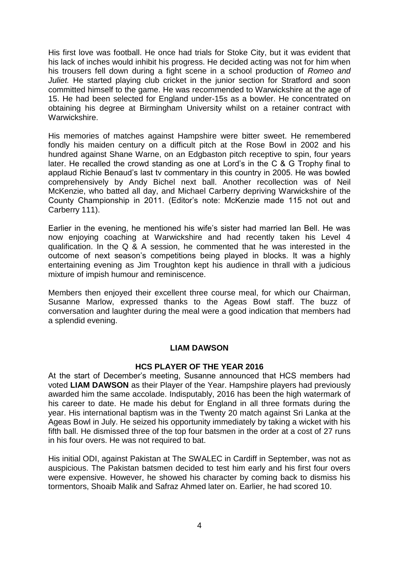His first love was football. He once had trials for Stoke City, but it was evident that his lack of inches would inhibit his progress. He decided acting was not for him when his trousers fell down during a fight scene in a school production of *Romeo and Juliet.* He started playing club cricket in the junior section for Stratford and soon committed himself to the game. He was recommended to Warwickshire at the age of 15. He had been selected for England under-15s as a bowler. He concentrated on obtaining his degree at Birmingham University whilst on a retainer contract with Warwickshire.

His memories of matches against Hampshire were bitter sweet. He remembered fondly his maiden century on a difficult pitch at the Rose Bowl in 2002 and his hundred against Shane Warne, on an Edgbaston pitch receptive to spin, four years later. He recalled the crowd standing as one at Lord's in the C & G Trophy final to applaud Richie Benaud's last tv commentary in this country in 2005. He was bowled comprehensively by Andy Bichel next ball. Another recollection was of Neil McKenzie, who batted all day, and Michael Carberry depriving Warwickshire of the County Championship in 2011. (Editor's note: McKenzie made 115 not out and Carberry 111).

Earlier in the evening, he mentioned his wife's sister had married Ian Bell. He was now enjoying coaching at Warwickshire and had recently taken his Level 4 qualification. In the Q & A session, he commented that he was interested in the outcome of next season's competitions being played in blocks. It was a highly entertaining evening as Jim Troughton kept his audience in thrall with a judicious mixture of impish humour and reminiscence.

Members then enjoyed their excellent three course meal, for which our Chairman, Susanne Marlow, expressed thanks to the Ageas Bowl staff. The buzz of conversation and laughter during the meal were a good indication that members had a splendid evening.

# **LIAM DAWSON**

#### **HCS PLAYER OF THE YEAR 2016**

At the start of December's meeting, Susanne announced that HCS members had voted **LIAM DAWSON** as their Player of the Year. Hampshire players had previously awarded him the same accolade. Indisputably, 2016 has been the high watermark of his career to date. He made his debut for England in all three formats during the year. His international baptism was in the Twenty 20 match against Sri Lanka at the Ageas Bowl in July. He seized his opportunity immediately by taking a wicket with his fifth ball. He dismissed three of the top four batsmen in the order at a cost of 27 runs in his four overs. He was not required to bat.

His initial ODI, against Pakistan at The SWALEC in Cardiff in September, was not as auspicious. The Pakistan batsmen decided to test him early and his first four overs were expensive. However, he showed his character by coming back to dismiss his tormentors, Shoaib Malik and Safraz Ahmed later on. Earlier, he had scored 10.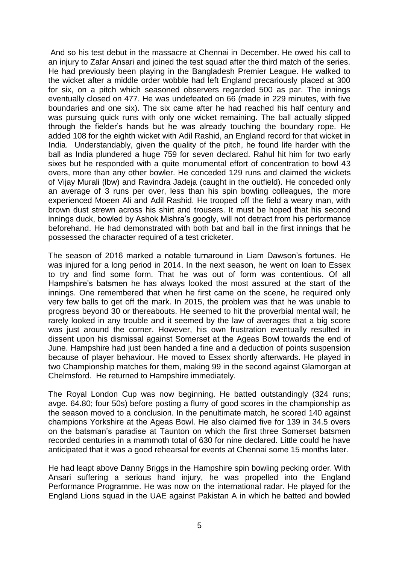And so his test debut in the massacre at Chennai in December. He owed his call to an injury to Zafar Ansari and joined the test squad after the third match of the series. He had previously been playing in the Bangladesh Premier League. He walked to the wicket after a middle order wobble had left England precariously placed at 300 for six, on a pitch which seasoned observers regarded 500 as par. The innings eventually closed on 477. He was undefeated on 66 (made in 229 minutes, with five boundaries and one six). The six came after he had reached his half century and was pursuing quick runs with only one wicket remaining. The ball actually slipped through the fielder's hands but he was already touching the boundary rope. He added 108 for the eighth wicket with Adil Rashid, an England record for that wicket in India. Understandably, given the quality of the pitch, he found life harder with the ball as India plundered a huge 759 for seven declared. Rahul hit him for two early sixes but he responded with a quite monumental effort of concentration to bowl 43 overs, more than any other bowler. He conceded 129 runs and claimed the wickets of Vijay Murali (lbw) and Ravindra Jadeja (caught in the outfield). He conceded only an average of 3 runs per over, less than his spin bowling colleagues, the more experienced Moeen Ali and Adil Rashid. He trooped off the field a weary man, with brown dust strewn across his shirt and trousers. It must be hoped that his second innings duck, bowled by Ashok Mishra's googly, will not detract from his performance beforehand. He had demonstrated with both bat and ball in the first innings that he possessed the character required of a test cricketer.

The season of 2016 marked a notable turnaround in Liam Dawson's fortunes. He was injured for a long period in 2014. In the next season, he went on loan to Essex to try and find some form. That he was out of form was contentious. Of all Hampshire's batsmen he has always looked the most assured at the start of the innings. One remembered that when he first came on the scene, he required only very few balls to get off the mark. In 2015, the problem was that he was unable to progress beyond 30 or thereabouts. He seemed to hit the proverbial mental wall; he rarely looked in any trouble and it seemed by the law of averages that a big score was just around the corner. However, his own frustration eventually resulted in dissent upon his dismissal against Somerset at the Ageas Bowl towards the end of June. Hampshire had just been handed a fine and a deduction of points suspension because of player behaviour. He moved to Essex shortly afterwards. He played in two Championship matches for them, making 99 in the second against Glamorgan at Chelmsford. He returned to Hampshire immediately.

The Royal London Cup was now beginning. He batted outstandingly (324 runs; avge. 64.80; four 50s) before posting a flurry of good scores in the championship as the season moved to a conclusion. In the penultimate match, he scored 140 against champions Yorkshire at the Ageas Bowl. He also claimed five for 139 in 34.5 overs on the batsman's paradise at Taunton on which the first three Somerset batsmen recorded centuries in a mammoth total of 630 for nine declared. Little could he have anticipated that it was a good rehearsal for events at Chennai some 15 months later.

He had leapt above Danny Briggs in the Hampshire spin bowling pecking order. With Ansari suffering a serious hand injury, he was propelled into the England Performance Programme. He was now on the international radar. He played for the England Lions squad in the UAE against Pakistan A in which he batted and bowled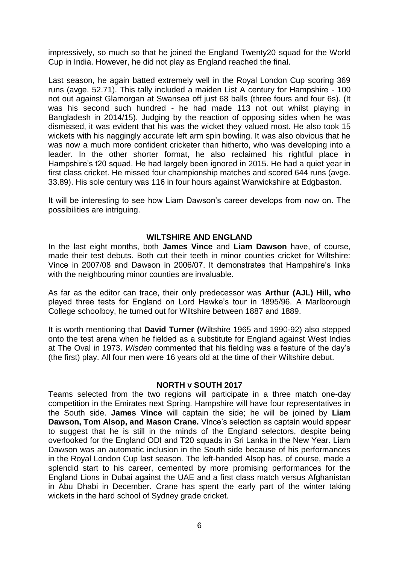impressively, so much so that he joined the England Twenty20 squad for the World Cup in India. However, he did not play as England reached the final.

Last season, he again batted extremely well in the Royal London Cup scoring 369 runs (avge. 52.71). This tally included a maiden List A century for Hampshire - 100 not out against Glamorgan at Swansea off just 68 balls (three fours and four 6s). (It was his second such hundred - he had made 113 not out whilst playing in Bangladesh in 2014/15). Judging by the reaction of opposing sides when he was dismissed, it was evident that his was the wicket they valued most. He also took 15 wickets with his naggingly accurate left arm spin bowling. It was also obvious that he was now a much more confident cricketer than hitherto, who was developing into a leader. In the other shorter format, he also reclaimed his rightful place in Hampshire's t20 squad. He had largely been ignored in 2015. He had a quiet year in first class cricket. He missed four championship matches and scored 644 runs (avge. 33.89). His sole century was 116 in four hours against Warwickshire at Edgbaston.

It will be interesting to see how Liam Dawson's career develops from now on. The possibilities are intriguing.

# **WILTSHIRE AND ENGLAND**

In the last eight months, both **James Vince** and **Liam Dawson** have, of course, made their test debuts. Both cut their teeth in minor counties cricket for Wiltshire: Vince in 2007/08 and Dawson in 2006/07. It demonstrates that Hampshire's links with the neighbouring minor counties are invaluable.

As far as the editor can trace, their only predecessor was **Arthur (AJL) Hill, who**  played three tests for England on Lord Hawke's tour in 1895/96. A Marlborough College schoolboy, he turned out for Wiltshire between 1887 and 1889.

It is worth mentioning that **David Turner (**Wiltshire 1965 and 1990-92) also stepped onto the test arena when he fielded as a substitute for England against West Indies at The Oval in 1973. *Wisden* commented that his fielding was a feature of the day's (the first) play. All four men were 16 years old at the time of their Wiltshire debut.

#### **NORTH v SOUTH 2017**

Teams selected from the two regions will participate in a three match one-day competition in the Emirates next Spring. Hampshire will have four representatives in the South side. **James Vince** will captain the side; he will be joined by **Liam Dawson, Tom Alsop, and Mason Crane.** Vince's selection as captain would appear to suggest that he is still in the minds of the England selectors, despite being overlooked for the England ODI and T20 squads in Sri Lanka in the New Year. Liam Dawson was an automatic inclusion in the South side because of his performances in the Royal London Cup last season. The left-handed Alsop has, of course, made a splendid start to his career, cemented by more promising performances for the England Lions in Dubai against the UAE and a first class match versus Afghanistan in Abu Dhabi in December. Crane has spent the early part of the winter taking wickets in the hard school of Sydney grade cricket.